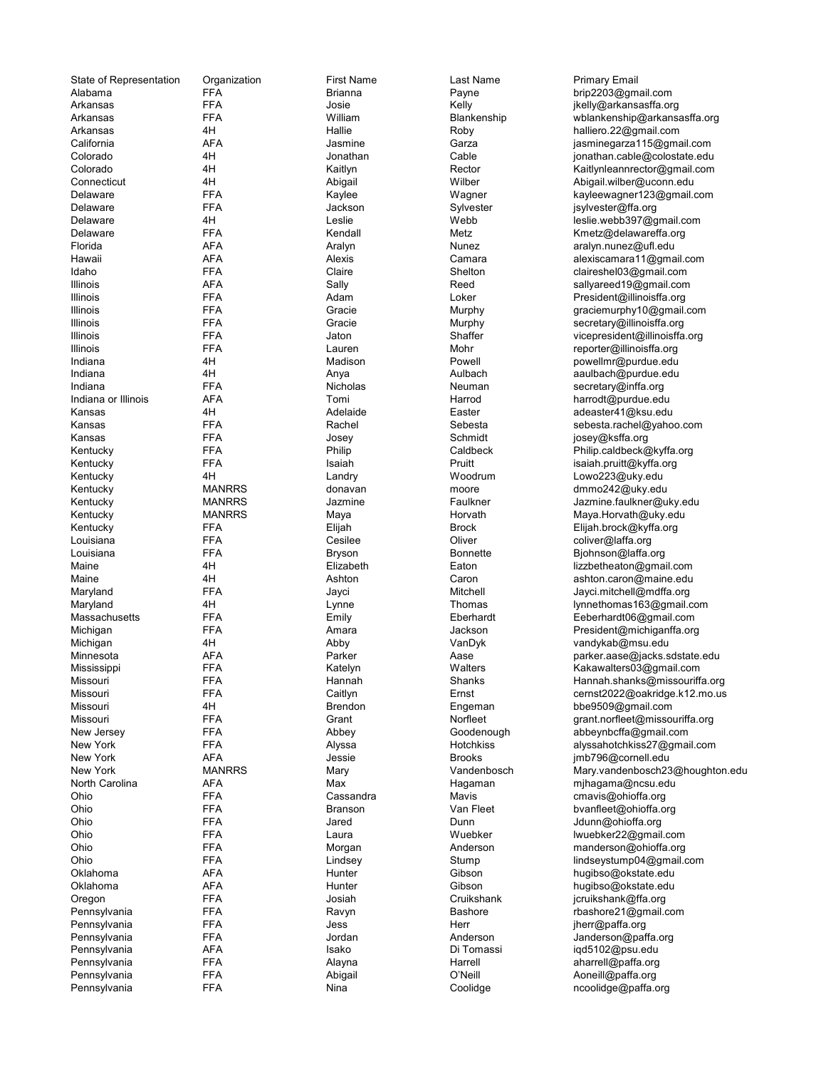| State of Representation | Organization  | <b>First Name</b> | Last Name       | <b>Primary Email</b>      |
|-------------------------|---------------|-------------------|-----------------|---------------------------|
| Alabama                 | <b>FFA</b>    | <b>Brianna</b>    | Payne           | brip2203@gm               |
| Arkansas                | <b>FFA</b>    | Josie             | Kelly           | jkelly@arkans             |
| Arkansas                | <b>FFA</b>    | William           | Blankenship     | wblankenship              |
|                         |               |                   |                 |                           |
| Arkansas                | 4H            | Hallie            | Roby            | halliero.22@g             |
| California              | <b>AFA</b>    | Jasmine           | Garza           | jasminegarza1             |
| Colorado                | 4H            | Jonathan          | Cable           | jonathan.cable            |
| Colorado                | 4H            | Kaitlyn           | Rector          | Kaitlynleannre            |
| Connecticut             | 4H            |                   | Wilber          |                           |
|                         |               | Abigail           |                 | Abigail.wilber@           |
| Delaware                | <b>FFA</b>    | Kaylee            | Wagner          | kayleewagner              |
| Delaware                | <b>FFA</b>    | Jackson           | Sylvester       | jsylvester@ffa            |
| Delaware                | 4H            | Leslie            | Webb            | leslie.webb397            |
|                         |               |                   |                 |                           |
| Delaware                | <b>FFA</b>    | Kendall           | Metz            | Kmetz@delaw               |
| Florida                 | AFA           | Aralyn            | <b>Nunez</b>    | aralyn.nunez@             |
| Hawaii                  | <b>AFA</b>    | Alexis            | Camara          | alexiscamara1             |
| Idaho                   | <b>FFA</b>    | Claire            | Shelton         | claireshel03@             |
|                         |               |                   |                 |                           |
| Illinois                | <b>AFA</b>    | Sally             | Reed            | sallyareed19@             |
| Illinois                | <b>FFA</b>    | Adam              | Loker           | President@illin           |
| Illinois                | <b>FFA</b>    | Gracie            | Murphy          | graciemurphy <sup>®</sup> |
| Illinois                | <b>FFA</b>    | Gracie            | Murphy          | secretary@illir           |
|                         |               |                   |                 |                           |
| Illinois                | <b>FFA</b>    | Jaton             | Shaffer         | vicepresident(            |
| Illinois                | <b>FFA</b>    | Lauren            | Mohr            | reporter@illind           |
| Indiana                 | 4H            | Madison           | Powell          | powellmr@pul              |
| Indiana                 | 4H            | Anya              | Aulbach         | aaulbach@pu               |
|                         |               |                   |                 |                           |
| Indiana                 | <b>FFA</b>    | Nicholas          | Neuman          | secretary@inf             |
| Indiana or Illinois     | AFA           | Tomi              | Harrod          | harrodt@purd              |
| Kansas                  | 4H            | Adelaide          | Easter          | adeaster41@k              |
| Kansas                  | <b>FFA</b>    | Rachel            | Sebesta         | sebesta.rache             |
|                         |               |                   |                 |                           |
| Kansas                  | <b>FFA</b>    | Josey             | Schmidt         | josey@ksffa.o             |
| Kentucky                | <b>FFA</b>    | Philip            | Caldbeck        | Philip.caldbec            |
| Kentucky                | <b>FFA</b>    | Isaiah            | Pruitt          | isaiah.pruitt@l           |
|                         | 4H            |                   |                 |                           |
| Kentucky                |               | Landry            | Woodrum         | Lowo223@uk                |
| Kentucky                | <b>MANRRS</b> | donavan           | moore           | dmmo242@ul                |
| Kentucky                | <b>MANRRS</b> | Jazmine           | Faulkner        | Jazmine.faulkı            |
| Kentucky                | <b>MANRRS</b> | Maya              | Horvath         | Maya.Horvath              |
|                         |               |                   |                 |                           |
| Kentucky                | <b>FFA</b>    | Elijah            | <b>Brock</b>    | Elijah.brock@             |
| Louisiana               | <b>FFA</b>    | Cesilee           | Oliver          | coliver@laffa.o           |
| Louisiana               | <b>FFA</b>    | <b>Bryson</b>     | <b>Bonnette</b> | Bjohnson@laf              |
| Maine                   | 4H            | Elizabeth         | Eaton           | lizzbetheaton@            |
|                         |               |                   |                 |                           |
| Maine                   | 4H            | Ashton            | Caron           | ashton.caron@             |
| Maryland                | <b>FFA</b>    | Jayci             | Mitchell        | Jayci.mitchell            |
| Maryland                | 4H            | Lynne             | Thomas          | lynnethomas1              |
| Massachusetts           | <b>FFA</b>    | Emily             | Eberhardt       | Eeberhardt06              |
|                         |               |                   |                 |                           |
| Michigan                | <b>FFA</b>    | Amara             | Jackson         | President@mi              |
| Michigan                | 4H            | Abby              | VanDyk          | vandykab@m                |
| Minnesota               | AFA           | Parker            | Aase            | parker.aase@              |
| Mississippi             | <b>FFA</b>    | Katelyn           | Walters         | Kakawalters03             |
|                         |               |                   |                 |                           |
| Missouri                | FFA           | Hannah            | Shanks          | Hannah.shank              |
| Missouri                | FFA           | Caitlyn           | Ernst           | cernst $2022@$            |
| Missouri                | 4H            | Brendon           | Engeman         | bbe9509@gm                |
| Missouri                | <b>FFA</b>    | Grant             | Norfleet        | grant.norfleet(           |
|                         |               |                   |                 |                           |
| New Jersey              | <b>FFA</b>    | Abbey             | Goodenough      | abbeynbcffa@              |
| New York                | <b>FFA</b>    | Alyssa            | Hotchkiss       | alyssahotchkis            |
| New York                | AFA           | Jessie            | <b>Brooks</b>   | imb796@corn               |
| New York                | <b>MANRRS</b> | Mary              | Vandenbosch     | Mary.vandenb              |
|                         |               |                   |                 |                           |
| North Carolina          | <b>AFA</b>    | Max               | Hagaman         | mjhagama@n                |
| Ohio                    | <b>FFA</b>    | Cassandra         | Mavis           | cmavis@ohiof              |
| Ohio                    | <b>FFA</b>    | <b>Branson</b>    | Van Fleet       | bvanfleet@oh              |
|                         | <b>FFA</b>    |                   | Dunn            |                           |
| Ohio                    |               | Jared             |                 | Jdunn@ohioff              |
| Ohio                    | <b>FFA</b>    | Laura             | Wuebker         | lwuebker22@               |
| Ohio                    | <b>FFA</b>    | Morgan            | Anderson        | manderson@                |
| Ohio                    | <b>FFA</b>    | Lindsey           | Stump           | lindseystump0             |
| Oklahoma                | <b>AFA</b>    | Hunter            | Gibson          | hugibso@okst              |
|                         |               |                   |                 |                           |
| Oklahoma                | <b>AFA</b>    | Hunter            | Gibson          | hugibso@okst              |
| Oregon                  | <b>FFA</b>    | Josiah            | Cruikshank      | jcruikshank@f             |
| Pennsylvania            | FFA           | Ravyn             | <b>Bashore</b>  | rbashore21@g              |
| Pennsylvania            | FFA           | Jess              | Herr            | jherr@paffa.or            |
|                         |               |                   |                 |                           |
| Pennsylvania            | <b>FFA</b>    | Jordan            | Anderson        | Janderson@p               |
| Pennsylvania            | AFA           | Isako             | Di Tomassi      | iqd5102@psu               |
| Pennsylvania            | FFA           | Alayna            | Harrell         | aharrell@paffa            |
| Pennsylvania            | <b>FFA</b>    | Abigail           | O'Neill         | Aoneill@paffa             |
|                         |               |                   |                 |                           |
| Pennsylvania            | <b>FFA</b>    | Nina              | Coolidge        | ncoolidge@pa              |

Alabama FFA Brianna Payne brip2203@gmail.com Arkansas FFA Josie Kelly jkelly@arkansasffa.org Arkansas FFA William Blankenship wblankenship@arkansasffa.org Arkansas 4H Hallie Roby halliero.22@gmail.com AFA Jasmine Garza jasminegarza115@gmail.com Colorado 4H Jonathan Cable jonathan.cable@colostate.edu Kaitlyn **Colorado 4 Kaitlynleannrector@gmail.com** 4H Abigail Wilber Abigail.wilber Abigail.wilber@uconn.edu Delaware FFA Kaylee Wagner kayleewagner123@gmail.com jsylvester@ffa.org Delaware 4H Leslie Webb leslie.webb397@gmail.com Kendall Metz Metz Kmetz@delawareffa.org AFA Aralyn Aralyn Nunez aralyn.nunez@ufl.edu AFA Alexis Alexis Camara alexiscamara11@gmail.com Idaho FFA Claire Shelton claireshel03@gmail.com Illinois AFA Sally Reed sallyareed19@gmail.com Illinois FFA Adam Loker President@illinoisffa.org Murphy graciemurphy10@gmail.com **ILLINOIST EFA** Gracie **Gracie Murphy Secretary@illinoisffa.org ILLINOIS EFA** Jaton Shaffer vicepresident@illinoisffa.org Illinois FFA Lauren Mohr reporter@illinoisffa.org Indiana 4H Madison Powell powellmr@purdue.edu Indiana 4H Anya Aulbach aaulbach@purdue.edu Indiana Indiana Nicholas Neuman Secretary@inffa.org Neuman Secretary<br>Indiana Tomi Secretary Secretary Secretary Secretary Secretary<br>Indiana Secretary Secretary Secretary Secretary Secretary Secretary Secretary Secretary Se Indiana or Illinois AFA Tomi Harrod harrodt@purdue.edu 4H Adelaide Easter adeaster41@ksu.edu FFA Rachel Sebesta sebesta sebesta.rachel@yahoo.com Kansas FFA Josey Schmidt josey@ksffa.org FFA Philip Philip Caldbeck Philip.caldbeck@kyffa.org FFA Isaiah Isaiah Pruitt isaiah.pruitt@kyffa.org Kentucky 4H Landry Woodrum Lowo223@uky.edu moore dmmo242@uky.edu Kentucky MANRRS Jazmine Faulkner Jazmine.faulkner@uky.edu Maya Maya Horvath Maya.Horvath Maya.Horvath FFA Elijah Elijah Brock Elijah.brock@kyffa.org FFA Cesilee Oliver Cuiver coliver@laffa.org Louisiana FFA Bryson Bonnette Bjohnson@laffa.org 4H Elizabeth Eaton Eaton lizzbetheaton@gmail.com<br>4H Ashton Caron Caron ashton.caron@maine.edu Ashton Caron Caron ashton.caron@maine.edu Maryland FFA Jayci Mitchell Jayci.mitchell@mdffa.org 4H Lynne Lynne Thomas lynnethomas163@gmail.com Massachusetts FFA Emily Eberhardt Eeberhardt06@gmail.com FFA Amara Amara Jackson President@michiganffa.org<br/>
President Michigan 4H Abby VanDyk vandykab@msu.edu Minnesota AFA Parker Aase parker.aase@jacks.sdstate.edu Katelyn Walters Kakawalters03@gmail.com FFA Hannah Shanks Hannah.shanks Hannah.shanks Hannah.shanks Hannah.shanks Hannah.shanks Hannah.shanks Hannah.shanks Hannah.shanks Hannah.shanks Hannah.shanks Hannah.shanks Hannah.shanks Hannah.shanks Hannah.shanks Hannah.s FFA Caitlyn Ernst Ernst cernst2022@oakridge.k12.mo.us<br>4H Brendon Engeman bbe9509@gmail.com Missouri 4H Brendon Engeman bbe9509@gmail.com FFA Grant Grant Norfleet grant.norfleet@missouriffa.org New Jersey FFA Abbey Goodenough abbeynbcffa@gmail.com FFA Alyssa Hotchkiss alyssahotchkiss27@gmail.com New York AFA Jessie Brooks jmb796@cornell.edu Mary vandenbosch 23@houghton.edu North Carolina AFA Max Hagaman mjhagama@ncsu.edu Mavis Farandra Comavis Cohioffa.org<br>Van Fleet Farandra Martiest Cohioffa.org FFA Branson Van Fleet bvanfleet@ohioffa.org FFA Jared Dunn Dunn Jdunn@ohioffa.org Ohio FFA Laura Wuebker lwuebker22@gmail.com Ohio FFA Morgan Anderson manderson@ohioffa.org Lindsey **Stump Stump Stump lindseystump04@gmail.com** AFA **Hunter** Gibson hugibso@okstate.edu AFA Hunter Gibson hugibso@okstate.edu Oregon FFA Josiah Cruikshank jcruikshank@ffa.org PEA Ravyn Bashore Bashore rbashore21@gmail.com PEA Jess Herr Herr jherr@paffa.org PEA Jordan Anderson Janderson Janderson Dennis Janderson Dennis Janderson Pennsylvania AFA Isako Di Tomassi iqd5102@psu.edu Pennsylvania Harrell aharrell aharrell aharrell aharrell aharrell aharrell aharrell aharrell aharrell aharrell a<br>Pennsylvania Harrell aharrel aharrel aharrel aharrell aharrell aharrell aharrel aharrel aharrel aharrel aharr Abigail **Pennsylvania FFA Conetable C'Neill** Aoneill@paffa.org PEA Nina Nina Coolidge ncoolidge@paffa.org